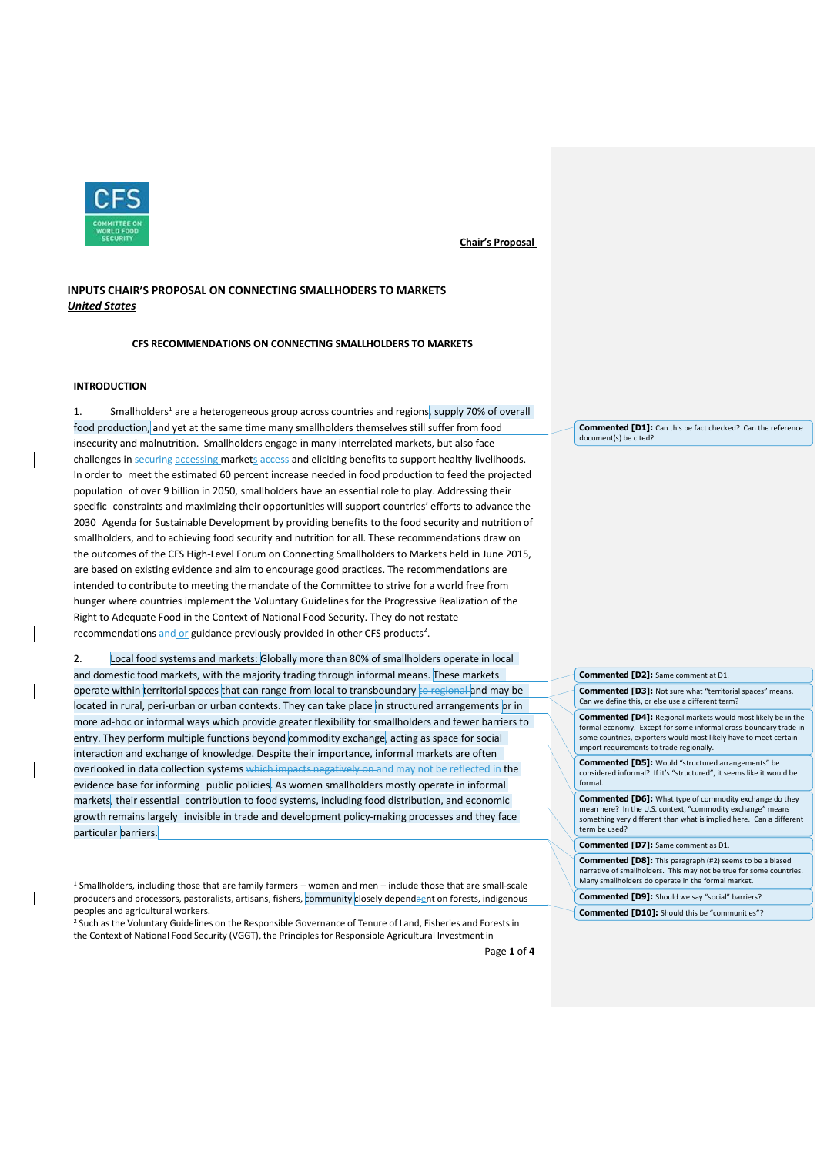

# **INPUTS CHAIR'S PROPOSAL ON CONNECTING SMALLHODERS TO MARKETS** *United States*

**CFS RECOMMENDATIONS ON CONNECTING SMALLHOLDERS TO MARKETS**

# **INTRODUCTION**

1. Smallholders<sup>1</sup> are a heterogeneous group across countries and regions, supply 70% of overall food production, and yet at the same time many smallholders themselves still suffer from food insecurity and malnutrition. Smallholders engage in many interrelated markets, but also face challenges in securing accessing markets access and eliciting benefits to support healthy livelihoods. In order to meet the estimated 60 percent increase needed in food production to feed the projected population of over 9 billion in 2050, smallholders have an essential role to play. Addressing their specific constraints and maximizing their opportunities will support countries' efforts to advance the 2030 Agenda for Sustainable Development by providing benefits to the food security and nutrition of smallholders, and to achieving food security and nutrition for all. These recommendations draw on the outcomes of the CFS High-Level Forum on Connecting Smallholders to Markets held in June 2015, are based on existing evidence and aim to encourage good practices. The recommendations are intended to contribute to meeting the mandate of the Committee to strive for a world free from hunger where countries implement the Voluntary Guidelines for the Progressive Realization of the Right to Adequate Food in the Context of National Food Security. They do not restate recommendations and or guidance previously provided in other CFS products<sup>2</sup>.

2. Local food systems and markets: Globally more than 80% of smallholders operate in local and domestic food markets, with the majority trading through informal means. These markets operate within territorial spaces that can range from local to transboundary to regional and may be located in rural, peri-urban or urban contexts. They can take place in structured arrangements or in more ad-hoc or informal ways which provide greater flexibility for smallholders and fewer barriers to entry. They perform multiple functions beyond commodity exchange, acting as space for social interaction and exchange of knowledge. Despite their importance, informal markets are often overlooked in data collection systems which impacts negatively on and may not be reflected in the evidence base for informing public policies. As women smallholders mostly operate in informal markets, their essential contribution to food systems, including food distribution, and economic growth remains largely invisible in trade and development policy-making processes and they face particular barriers.

**Commented [D1]:** Can this be fact checked? Can the reference document(s) be cited?

# **Commented [D2]:** Same comment at D1.

**Commented [D3]:** Not sure what "territorial spaces" means. Can we define this, or else use a different term?

**Commented [D4]:** Regional markets would most likely be in the formal economy. Except for some informal cross-boundary trade in some countries, exporters would most likely have to meet certain import requirements to trade regionally.

**Commented [D5]:** Would "structured arrangements" be considered informal? If it's "structured", it seems like it would be formal.

**Commented [D6]:** What type of commodity exchange do they mean here? In the U.S. context, "commodity exchange" means something very different than what is implied here. Can a different term be used?

#### **Commented [D7]:** Same comment as D1.

**Commented [D8]:** This paragraph (#2) seems to be a biased narrative of smallholders. This may not be true for some countries. Many smallholders do operate in the formal market.

**Commented [D9]:** Should we say "social" barriers?

**Commented [D10]:** Should this be "communities"?

<sup>1</sup> Smallholders, including those that are family farmers – women and men – include those that are small-scale producers and processors, pastoralists, artisans, fishers, community closely dependaent on forests, indigenous peoples and agricultural workers.

<sup>&</sup>lt;sup>2</sup> Such as the Voluntary Guidelines on the Responsible Governance of Tenure of Land, Fisheries and Forests in the Context of National Food Security (VGGT), the Principlesfor Responsible Agricultural Investment in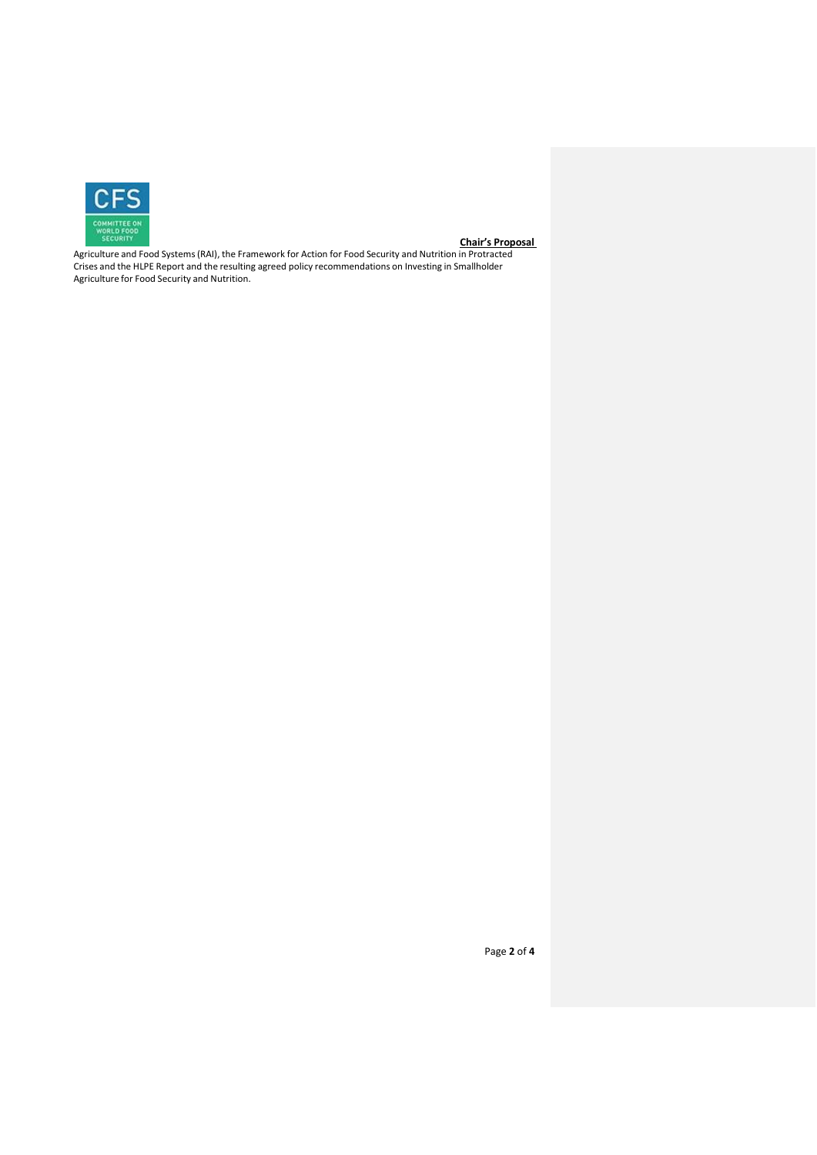

Agriculture and Food Systems(RAI), the Framework for Action for Food Security and Nutrition in Protracted Crises and the HLPE Report and the resulting agreed policy recommendations on Investing in Smallholder Agriculture for Food Security and Nutrition.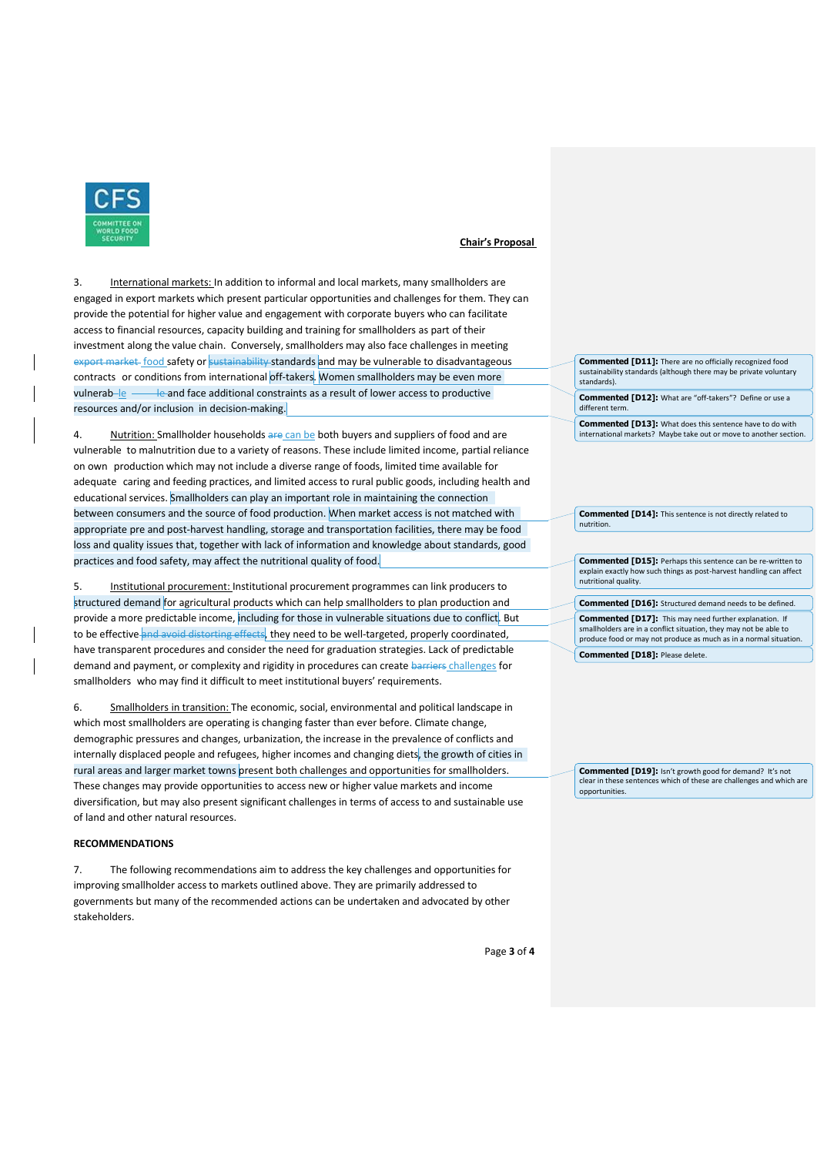

3. International markets: In addition to informal and local markets, many smallholders are engaged in export markets which present particular opportunities and challenges for them. They can provide the potential for higher value and engagement with corporate buyers who can facilitate access to financial resources, capacity building and training for smallholders as part of their investment along the value chain. Conversely, smallholders may also face challenges in meeting export market food safety or sustainability standards and may be vulnerable to disadvantageous contracts or conditions from international off-takers. Women smallholders may be even more vulnerab $\frac{1}{2}$   $\frac{1}{2}$  and face additional constraints as a result of lower access to productive resources and/or inclusion in decision-making.

4. Nutrition: Smallholder households are can be both buyers and suppliers of food and are vulnerable to malnutrition due to a variety of reasons. These include limited income, partial reliance on own production which may not include a diverse range of foods, limited time available for adequate caring and feeding practices, and limited access to rural public goods, including health and educational services. Smallholders can play an important role in maintaining the connection between consumers and the source of food production. When market access is not matched with appropriate pre and post-harvest handling, storage and transportation facilities, there may be food loss and quality issues that, together with lack of information and knowledge about standards, good practices and food safety, may affect the nutritional quality of food.

5. Institutional procurement: Institutional procurement programmes can link producers to structured demand for agricultural products which can help smallholders to plan production and provide a more predictable income, including for those in vulnerable situations due to conflict. But to be effective and avoid distorting effects, they need to be well-targeted, properly coordinated, have transparent procedures and consider the need for graduation strategies. Lack of predictable demand and payment, or complexity and rigidity in procedures can create barriers challenges for smallholders who may find it difficult to meet institutional buyers' requirements.

6. Smallholders in transition: The economic, social, environmental and political landscape in which most smallholders are operating is changing faster than ever before. Climate change, demographic pressures and changes, urbanization, the increase in the prevalence of conflicts and internally displaced people and refugees, higher incomes and changing diets, the growth of cities in rural areas and larger market towns present both challenges and opportunities for smallholders. These changes may provide opportunities to access new or higher value markets and income diversification, but may also present significant challenges in terms of access to and sustainable use of land and other natural resources.

## **RECOMMENDATIONS**

7. The following recommendations aim to address the key challenges and opportunities for improving smallholder access to markets outlined above. They are primarily addressed to governments but many of the recommended actions can be undertaken and advocated by other stakeholders.

Page **3** of **4**

**Commented [D11]:** There are no officially recognized food sustainability standards (although there may be private voluntary standards).

**Commented [D12]:** What are "off-takers"? Define or use a different term.

**Commented [D13]:** What does this sentence have to do with international markets? Maybe take out or move to another section.

**Commented [D14]:** This sentence is not directly related to nutrition.

**Commented [D15]:** Perhaps this sentence can be re-written to explain exactly how such things as post-harvest handling can affect nutritional quality.

**Commented [D16]:** Structured demand needs to be defined.

**Commented [D17]:** This may need further explanation. If smallholders are in a conflict situation, they may not be able to produce food or may not produce as much as in a normal situation.

**Commented [D18]:** Please delete.

**Commented [D19]:** Isn't growth good for demand? It's not clear in these sentences which of these are challenges and which are opportunities.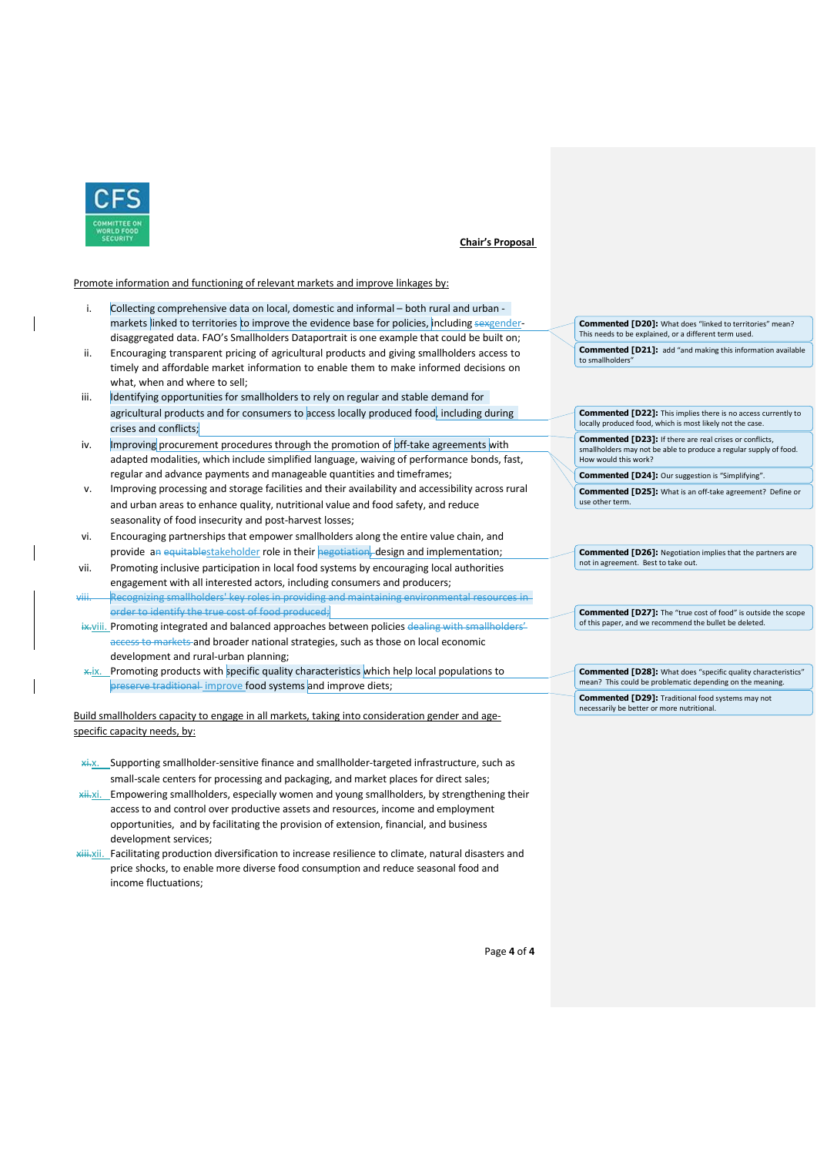

### Promote information and functioning of relevant markets and improve linkages by:

- i. Collecting comprehensive data on local, domestic and informal both rural and urban markets linked to territories to improve the evidence base for policies, including sexgenderdisaggregated data. FAO's Smallholders Dataportrait is one example that could be built on;
- ii. Encouraging transparent pricing of agricultural products and giving smallholders access to timely and affordable market information to enable them to make informed decisions on what, when and where to sell;
- iii. **Identifying opportunities for smallholders to rely on regular and stable demand for** agricultural products and for consumers to access locally produced food, including during crises and conflicts;
- iv. Improving procurement procedures through the promotion of off-take agreements with adapted modalities, which include simplified language, waiving of performance bonds, fast, regular and advance payments and manageable quantities and timeframes;
- v. Improving processing and storage facilities and their availability and accessibility across rural and urban areas to enhance quality, nutritional value and food safety, and reduce seasonality of food insecurity and post-harvest losses;
- vi. Encouraging partnerships that empower smallholders along the entire value chain, and provide an equitablestakeholder role in their negotiation, design and implementation;
- vii. Promoting inclusive participation in local food systems by encouraging local authorities engagement with all interested actors, including consumers and producers;
- viii. Recognizing smallholders' key roles in providing and maintaining environmental resources in order to identify the true cost of food produced;
- ix.viii. Promoting integrated and balanced approaches between policies dealing with smallholders' access to markets and broader national strategies, such as those on local economic development and rural-urban planning;
- \*ix. Promoting products with specific quality characteristics which help local populations to preserve traditional improve food systems and improve diets;

Build smallholders capacity to engage in all markets, taking into consideration gender and agespecific capacity needs, by:

- **xi.x.** Supporting smallholder-sensitive finance and smallholder-targeted infrastructure, such as small-scale centers for processing and packaging, and market places for direct sales;
- **xii.xi.** Empowering smallholders, especially women and young smallholders, by strengthening their access to and control over productive assets and resources, income and employment opportunities, and by facilitating the provision of extension, financial, and business development services;
- **xiii.**xii. Facilitating production diversification to increase resilience to climate, natural disasters and price shocks, to enable more diverse food consumption and reduce seasonal food and income fluctuations;

**Commented [D20]:** What does "linked to territories" mean? This needs to be explained, or a different term used.

**Commented [D21]:** add "and making this information available to smallholders"

**Commented [D22]:** This implies there is no access currently to locally produced food, which is most likely not the case.

**Commented [D23]:** If there are real crises or conflicts, smallholders may not be able to produce a regular supply of food. How would this work?

**Commented [D24]:** Our suggestion is "Simplifying".

**Commented [D25]:** What is an off-take agreement? Define or use other term.

**Commented [D26]:** Negotiation implies that the partners are not in agreement. Best to take out.

**Commented [D27]:** The "true cost of food" is outside the scope of this paper, and we recommend the bullet be deleted.

**Commented [D28]:** What does "specific quality characteristics" mean? This could be problematic depending on the meaning. **Commented [D29]:** Traditional food systems may not necessarily be better or more nutritional.

Page **4** of **4**